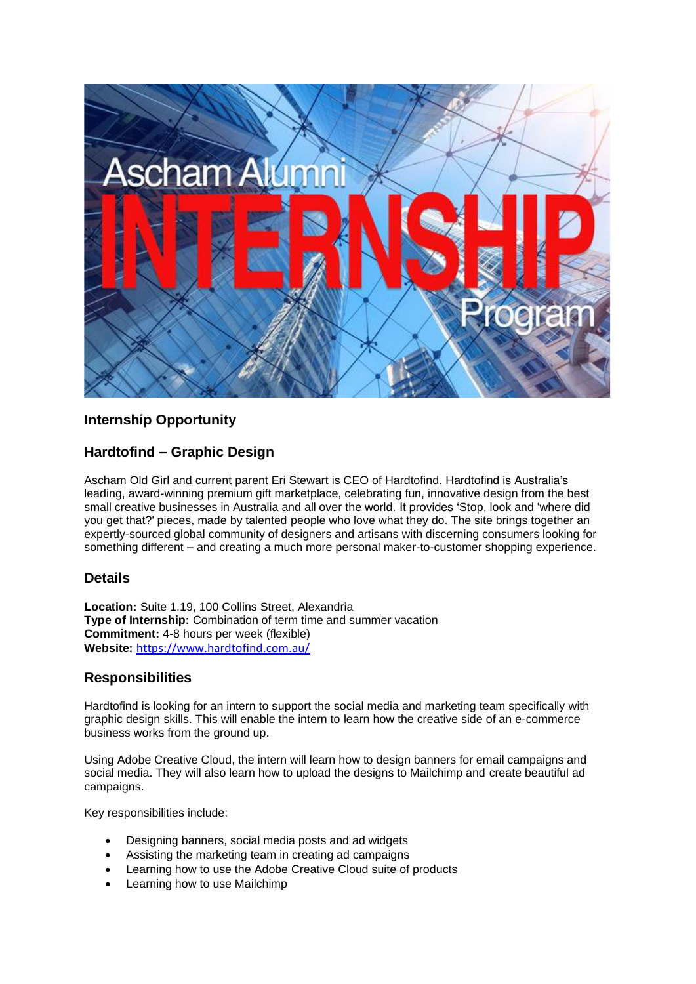

# **Internship Opportunity**

# **Hardtofind – Graphic Design**

Ascham Old Girl and current parent Eri Stewart is CEO of Hardtofind. Hardtofind is Australia's leading, award-winning premium gift marketplace, celebrating fun, innovative design from the best small creative businesses in Australia and all over the world. It provides 'Stop, look and 'where did you get that?' pieces, made by talented people who love what they do. The site brings together an expertly-sourced global community of designers and artisans with discerning consumers looking for something different – and creating a much more personal maker-to-customer shopping experience.

## **Details**

**Location:** Suite 1.19, 100 Collins Street, Alexandria **Type of Internship:** Combination of term time and summer vacation **Commitment:** 4-8 hours per week (flexible) **Website:** <https://www.hardtofind.com.au/>

## **Responsibilities**

Hardtofind is looking for an intern to support the social media and marketing team specifically with graphic design skills. This will enable the intern to learn how the creative side of an e-commerce business works from the ground up.

Using Adobe Creative Cloud, the intern will learn how to design banners for email campaigns and social media. They will also learn how to upload the designs to Mailchimp and create beautiful ad campaigns.

Key responsibilities include:

- Designing banners, social media posts and ad widgets
- Assisting the marketing team in creating ad campaigns
- Learning how to use the Adobe Creative Cloud suite of products
- Learning how to use Mailchimp